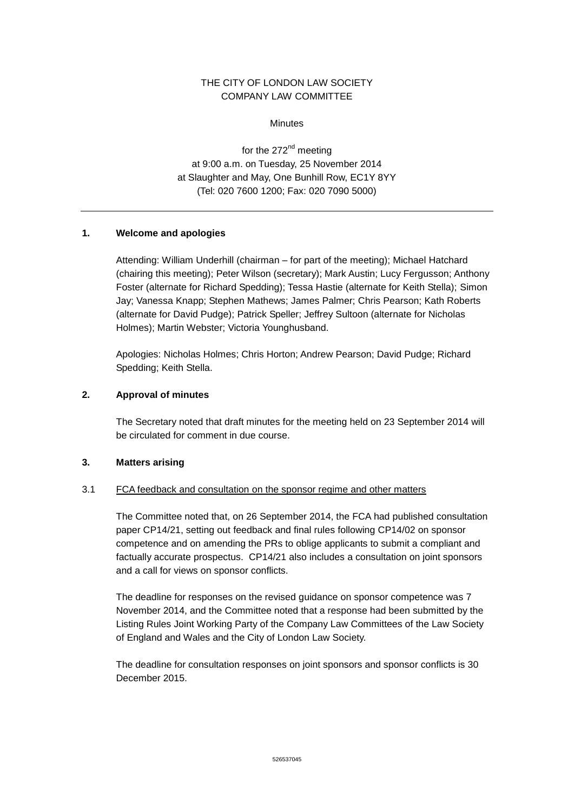# THE CITY OF LONDON LAW SOCIETY COMPANY LAW COMMITTEE

**Minutes** 

for the 272<sup>nd</sup> meeting at 9:00 a.m. on Tuesday, 25 November 2014 at Slaughter and May, One Bunhill Row, EC1Y 8YY (Tel: 020 7600 1200; Fax: 020 7090 5000)

## **1. Welcome and apologies**

Attending: William Underhill (chairman – for part of the meeting); Michael Hatchard (chairing this meeting); Peter Wilson (secretary); Mark Austin; Lucy Fergusson; Anthony Foster (alternate for Richard Spedding); Tessa Hastie (alternate for Keith Stella); Simon Jay; Vanessa Knapp; Stephen Mathews; James Palmer; Chris Pearson; Kath Roberts (alternate for David Pudge); Patrick Speller; Jeffrey Sultoon (alternate for Nicholas Holmes); Martin Webster; Victoria Younghusband.

Apologies: Nicholas Holmes; Chris Horton; Andrew Pearson; David Pudge; Richard Spedding; Keith Stella.

# **2. Approval of minutes**

The Secretary noted that draft minutes for the meeting held on 23 September 2014 will be circulated for comment in due course.

### **3. Matters arising**

### 3.1 FCA feedback and consultation on the sponsor regime and other matters

The Committee noted that, on 26 September 2014, the FCA had published consultation paper CP14/21, setting out feedback and final rules following CP14/02 on sponsor competence and on amending the PRs to oblige applicants to submit a compliant and factually accurate prospectus. CP14/21 also includes a consultation on joint sponsors and a call for views on sponsor conflicts.

The deadline for responses on the revised guidance on sponsor competence was 7 November 2014, and the Committee noted that a response had been submitted by the Listing Rules Joint Working Party of the Company Law Committees of the Law Society of England and Wales and the City of London Law Society.

The deadline for consultation responses on joint sponsors and sponsor conflicts is 30 December 2015.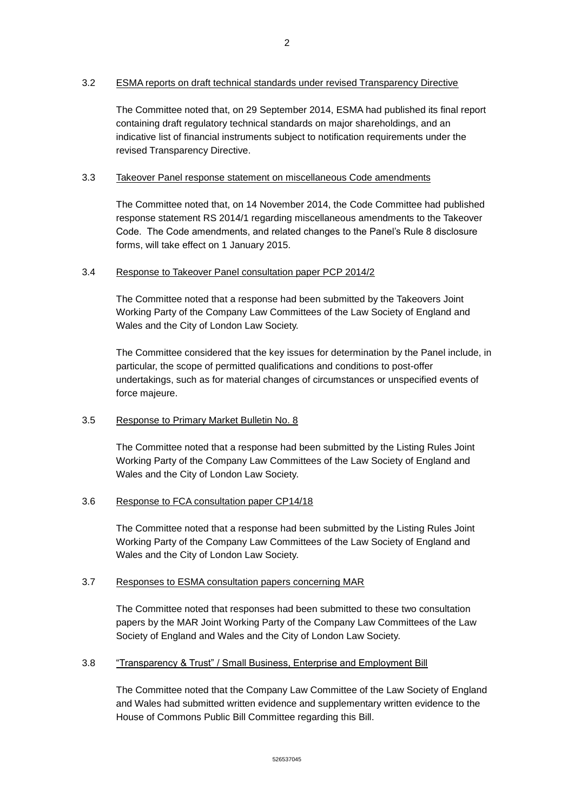## 3.2 ESMA reports on draft technical standards under revised Transparency Directive

The Committee noted that, on 29 September 2014, ESMA had published its final report containing draft regulatory technical standards on major shareholdings, and an indicative list of financial instruments subject to notification requirements under the revised Transparency Directive.

# 3.3 Takeover Panel response statement on miscellaneous Code amendments

The Committee noted that, on 14 November 2014, the Code Committee had published response statement RS 2014/1 regarding miscellaneous amendments to the Takeover Code. The Code amendments, and related changes to the Panel's Rule 8 disclosure forms, will take effect on 1 January 2015.

## 3.4 Response to Takeover Panel consultation paper PCP 2014/2

The Committee noted that a response had been submitted by the Takeovers Joint Working Party of the Company Law Committees of the Law Society of England and Wales and the City of London Law Society.

The Committee considered that the key issues for determination by the Panel include, in particular, the scope of permitted qualifications and conditions to post-offer undertakings, such as for material changes of circumstances or unspecified events of force majeure.

## 3.5 Response to Primary Market Bulletin No. 8

The Committee noted that a response had been submitted by the Listing Rules Joint Working Party of the Company Law Committees of the Law Society of England and Wales and the City of London Law Society.

## 3.6 Response to FCA consultation paper CP14/18

The Committee noted that a response had been submitted by the Listing Rules Joint Working Party of the Company Law Committees of the Law Society of England and Wales and the City of London Law Society.

## 3.7 Responses to ESMA consultation papers concerning MAR

The Committee noted that responses had been submitted to these two consultation papers by the MAR Joint Working Party of the Company Law Committees of the Law Society of England and Wales and the City of London Law Society.

## 3.8 "Transparency & Trust" / Small Business, Enterprise and Employment Bill

The Committee noted that the Company Law Committee of the Law Society of England and Wales had submitted written evidence and supplementary written evidence to the House of Commons Public Bill Committee regarding this Bill.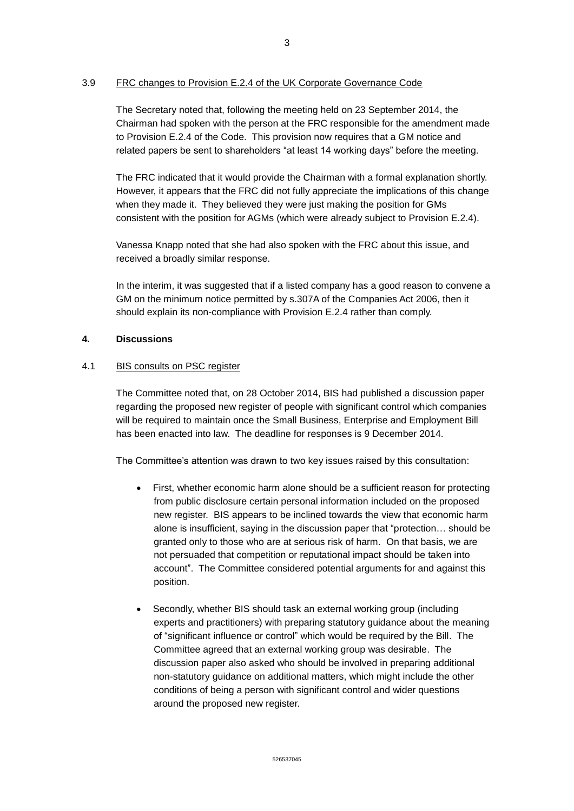# 3.9 FRC changes to Provision E.2.4 of the UK Corporate Governance Code

The Secretary noted that, following the meeting held on 23 September 2014, the Chairman had spoken with the person at the FRC responsible for the amendment made to Provision E.2.4 of the Code. This provision now requires that a GM notice and related papers be sent to shareholders "at least 14 working days" before the meeting.

The FRC indicated that it would provide the Chairman with a formal explanation shortly. However, it appears that the FRC did not fully appreciate the implications of this change when they made it. They believed they were just making the position for GMs consistent with the position for AGMs (which were already subject to Provision E.2.4).

Vanessa Knapp noted that she had also spoken with the FRC about this issue, and received a broadly similar response.

In the interim, it was suggested that if a listed company has a good reason to convene a GM on the minimum notice permitted by s.307A of the Companies Act 2006, then it should explain its non-compliance with Provision E.2.4 rather than comply.

## **4. Discussions**

## 4.1 BIS consults on PSC register

The Committee noted that, on 28 October 2014, BIS had published a discussion paper regarding the proposed new register of people with significant control which companies will be required to maintain once the Small Business, Enterprise and Employment Bill has been enacted into law. The deadline for responses is 9 December 2014.

The Committee's attention was drawn to two key issues raised by this consultation:

- First, whether economic harm alone should be a sufficient reason for protecting from public disclosure certain personal information included on the proposed new register. BIS appears to be inclined towards the view that economic harm alone is insufficient, saying in the discussion paper that "protection… should be granted only to those who are at serious risk of harm. On that basis, we are not persuaded that competition or reputational impact should be taken into account". The Committee considered potential arguments for and against this position.
- Secondly, whether BIS should task an external working group (including experts and practitioners) with preparing statutory guidance about the meaning of "significant influence or control" which would be required by the Bill. The Committee agreed that an external working group was desirable. The discussion paper also asked who should be involved in preparing additional non-statutory guidance on additional matters, which might include the other conditions of being a person with significant control and wider questions around the proposed new register.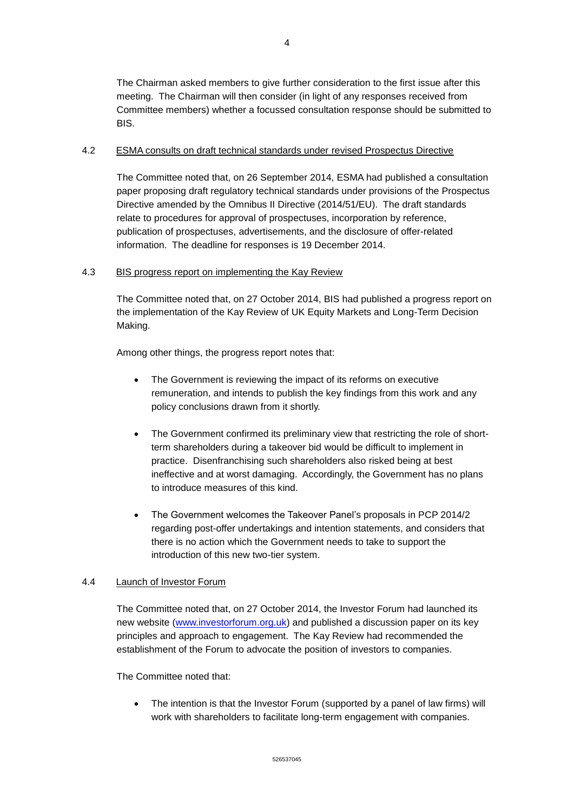The Chairman asked members to give further consideration to the first issue after this meeting. The Chairman will then consider (in light of any responses received from Committee members) whether a focussed consultation response should be submitted to BIS.

# 4.2 ESMA consults on draft technical standards under revised Prospectus Directive

The Committee noted that, on 26 September 2014, ESMA had published a consultation paper proposing draft regulatory technical standards under provisions of the Prospectus Directive amended by the Omnibus II Directive (2014/51/EU). The draft standards relate to procedures for approval of prospectuses, incorporation by reference, publication of prospectuses, advertisements, and the disclosure of offer-related information. The deadline for responses is 19 December 2014.

# 4.3 BIS progress report on implementing the Kay Review

The Committee noted that, on 27 October 2014, BIS had published a progress report on the implementation of the Kay Review of UK Equity Markets and Long-Term Decision Making.

Among other things, the progress report notes that:

- The Government is reviewing the impact of its reforms on executive remuneration, and intends to publish the key findings from this work and any policy conclusions drawn from it shortly.
- The Government confirmed its preliminary view that restricting the role of shortterm shareholders during a takeover bid would be difficult to implement in practice. Disenfranchising such shareholders also risked being at best ineffective and at worst damaging. Accordingly, the Government has no plans to introduce measures of this kind.
- The Government welcomes the Takeover Panel's proposals in PCP 2014/2 regarding post-offer undertakings and intention statements, and considers that there is no action which the Government needs to take to support the introduction of this new two-tier system.

# 4.4 Launch of Investor Forum

The Committee noted that, on 27 October 2014, the Investor Forum had launched its new website [\(www.investorforum.org.uk\)](http://www.investorforum.org.uk/) and published a discussion paper on its key principles and approach to engagement. The Kay Review had recommended the establishment of the Forum to advocate the position of investors to companies.

The Committee noted that:

 The intention is that the Investor Forum (supported by a panel of law firms) will work with shareholders to facilitate long-term engagement with companies.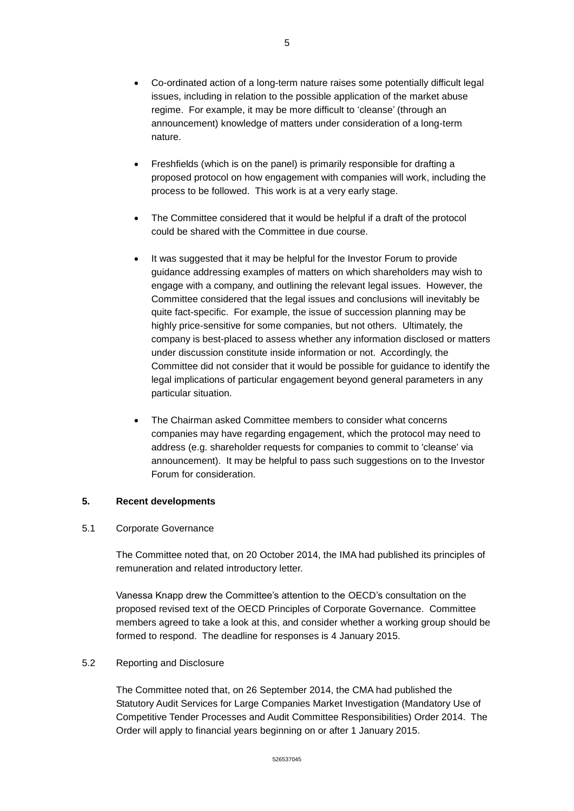- Co-ordinated action of a long-term nature raises some potentially difficult legal issues, including in relation to the possible application of the market abuse regime. For example, it may be more difficult to 'cleanse' (through an announcement) knowledge of matters under consideration of a long-term nature.
- Freshfields (which is on the panel) is primarily responsible for drafting a proposed protocol on how engagement with companies will work, including the process to be followed. This work is at a very early stage.
- The Committee considered that it would be helpful if a draft of the protocol could be shared with the Committee in due course.
- It was suggested that it may be helpful for the Investor Forum to provide guidance addressing examples of matters on which shareholders may wish to engage with a company, and outlining the relevant legal issues. However, the Committee considered that the legal issues and conclusions will inevitably be quite fact-specific. For example, the issue of succession planning may be highly price-sensitive for some companies, but not others. Ultimately, the company is best-placed to assess whether any information disclosed or matters under discussion constitute inside information or not. Accordingly, the Committee did not consider that it would be possible for guidance to identify the legal implications of particular engagement beyond general parameters in any particular situation.
- The Chairman asked Committee members to consider what concerns companies may have regarding engagement, which the protocol may need to address (e.g. shareholder requests for companies to commit to 'cleanse' via announcement). It may be helpful to pass such suggestions on to the Investor Forum for consideration.

## **5. Recent developments**

### 5.1 Corporate Governance

The Committee noted that, on 20 October 2014, the IMA had published its principles of remuneration and related introductory letter.

Vanessa Knapp drew the Committee's attention to the OECD's consultation on the proposed revised text of the OECD Principles of Corporate Governance. Committee members agreed to take a look at this, and consider whether a working group should be formed to respond. The deadline for responses is 4 January 2015.

### 5.2 Reporting and Disclosure

The Committee noted that, on 26 September 2014, the CMA had published the Statutory Audit Services for Large Companies Market Investigation (Mandatory Use of Competitive Tender Processes and Audit Committee Responsibilities) Order 2014. The Order will apply to financial years beginning on or after 1 January 2015.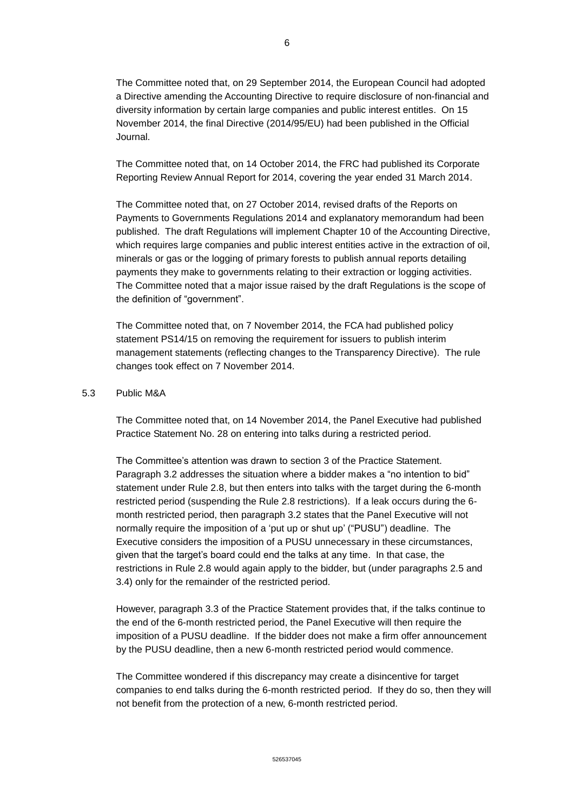The Committee noted that, on 29 September 2014, the European Council had adopted a Directive amending the Accounting Directive to require disclosure of non-financial and diversity information by certain large companies and public interest entitles. On 15 November 2014, the final Directive (2014/95/EU) had been published in the Official Journal.

The Committee noted that, on 14 October 2014, the FRC had published its Corporate Reporting Review Annual Report for 2014, covering the year ended 31 March 2014.

The Committee noted that, on 27 October 2014, revised drafts of the Reports on Payments to Governments Regulations 2014 and explanatory memorandum had been published. The draft Regulations will implement Chapter 10 of the Accounting Directive, which requires large companies and public interest entities active in the extraction of oil, minerals or gas or the logging of primary forests to publish annual reports detailing payments they make to governments relating to their extraction or logging activities. The Committee noted that a major issue raised by the draft Regulations is the scope of the definition of "government".

The Committee noted that, on 7 November 2014, the FCA had published policy statement PS14/15 on removing the requirement for issuers to publish interim management statements (reflecting changes to the Transparency Directive). The rule changes took effect on 7 November 2014.

### 5.3 Public M&A

The Committee noted that, on 14 November 2014, the Panel Executive had published Practice Statement No. 28 on entering into talks during a restricted period.

The Committee's attention was drawn to section 3 of the Practice Statement. Paragraph 3.2 addresses the situation where a bidder makes a "no intention to bid" statement under Rule 2.8, but then enters into talks with the target during the 6-month restricted period (suspending the Rule 2.8 restrictions). If a leak occurs during the 6 month restricted period, then paragraph 3.2 states that the Panel Executive will not normally require the imposition of a 'put up or shut up' ("PUSU") deadline. The Executive considers the imposition of a PUSU unnecessary in these circumstances, given that the target's board could end the talks at any time. In that case, the restrictions in Rule 2.8 would again apply to the bidder, but (under paragraphs 2.5 and 3.4) only for the remainder of the restricted period.

However, paragraph 3.3 of the Practice Statement provides that, if the talks continue to the end of the 6-month restricted period, the Panel Executive will then require the imposition of a PUSU deadline. If the bidder does not make a firm offer announcement by the PUSU deadline, then a new 6-month restricted period would commence.

The Committee wondered if this discrepancy may create a disincentive for target companies to end talks during the 6-month restricted period. If they do so, then they will not benefit from the protection of a new, 6-month restricted period.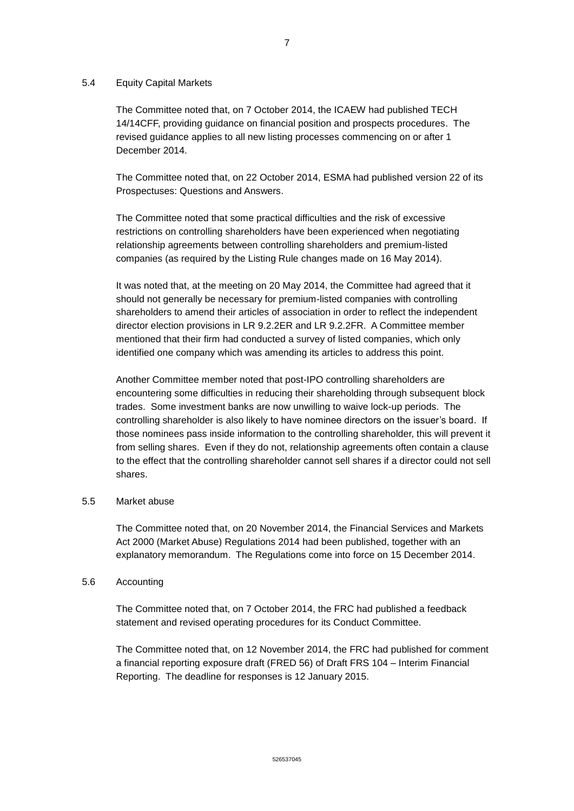## 5.4 Equity Capital Markets

The Committee noted that, on 7 October 2014, the ICAEW had published TECH 14/14CFF, providing guidance on financial position and prospects procedures. The revised guidance applies to all new listing processes commencing on or after 1 December 2014.

The Committee noted that, on 22 October 2014, ESMA had published version 22 of its Prospectuses: Questions and Answers.

The Committee noted that some practical difficulties and the risk of excessive restrictions on controlling shareholders have been experienced when negotiating relationship agreements between controlling shareholders and premium-listed companies (as required by the Listing Rule changes made on 16 May 2014).

It was noted that, at the meeting on 20 May 2014, the Committee had agreed that it should not generally be necessary for premium-listed companies with controlling shareholders to amend their articles of association in order to reflect the independent director election provisions in LR 9.2.2ER and LR 9.2.2FR. A Committee member mentioned that their firm had conducted a survey of listed companies, which only identified one company which was amending its articles to address this point.

Another Committee member noted that post-IPO controlling shareholders are encountering some difficulties in reducing their shareholding through subsequent block trades. Some investment banks are now unwilling to waive lock-up periods. The controlling shareholder is also likely to have nominee directors on the issuer's board. If those nominees pass inside information to the controlling shareholder, this will prevent it from selling shares. Even if they do not, relationship agreements often contain a clause to the effect that the controlling shareholder cannot sell shares if a director could not sell shares.

## 5.5 Market abuse

The Committee noted that, on 20 November 2014, the Financial Services and Markets Act 2000 (Market Abuse) Regulations 2014 had been published, together with an explanatory memorandum. The Regulations come into force on 15 December 2014.

## 5.6 Accounting

The Committee noted that, on 7 October 2014, the FRC had published a feedback statement and revised operating procedures for its Conduct Committee.

The Committee noted that, on 12 November 2014, the FRC had published for comment a financial reporting exposure draft (FRED 56) of Draft FRS 104 – Interim Financial Reporting. The deadline for responses is 12 January 2015.